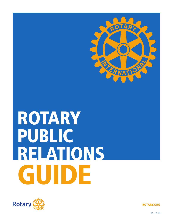

# ROTARY PUBLIC RELATIONS GUIDE



ROTARY.ORG

EN—(518)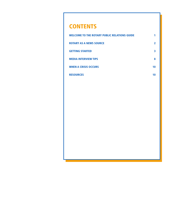### **CONTENTS**

| <b>WELCOME TO THE ROTARY PUBLIC RELATIONS GUIDE</b> |    |
|-----------------------------------------------------|----|
| <b>ROTARY AS A NEWS SOURCE</b>                      | 2  |
| <b>GETTING STARTED</b>                              | 3  |
| <b>MEDIA INTERVIEW TIPS</b>                         | 8  |
| <b>WHEN A CRISIS OCCURS</b>                         | 10 |
| <b>RESOURCES</b>                                    | 10 |
|                                                     |    |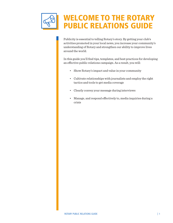

Publicity is essential to telling Rotary's story. By getting your club's activities promoted in your local news, you increase your community's understanding of Rotary and strengthen our ability to improve lives around the world.

In this guide you'll find tips, templates, and best practices for developing an effective public relations campaign. As a result, you will:

- Show Rotary's impact and value in your community
- Cultivate relationships with journalists and employ the right tactics and tools to get media coverage
- Clearly convey your message during interviews
- Manage, and respond effectively to, media inquiries during a crisis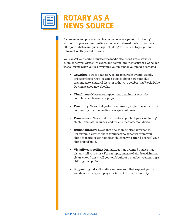

## ROTARY AS A NEWS SOURCE

As business and professional leaders who have a passion for taking action to improve communities at home and abroad, Rotary members offer journalists a unique viewpoint, along with access to people and information they want to cover.

You can get your club's activities the media attention they deserve by submitting well-written, relevant, and compelling media pitches. Consider the following when you're developing your pitch for your media contacts:

- **News hook:** Does your story relate to current events, trends, or observances? For instance, stories about how your club responded to a natural disaster or how it's celebrating World Polio Day make good news hooks.
- **Timeliness:** News about upcoming, ongoing, or recently completed club events or projects.
- **Proximity:** News that pertains to issues, people, or events in the community that the media coverage would reach.
- **Prominence:** News that involves local public figures, including elected officials, business leaders, and media personalities.
- **Human interest:** News that elicits an emotional response. For example, stories about families who benefited from your club's food project or homeless children who attend a school your club helped build.
- **Visually compelling:** Dramatic, action-oriented images that visually tell your story. For example, images of children drinking clean water from a well your club built or a member vaccinating a child against polio.
- **Supporting data:** Statistics and research that support your story and demonstrate your project's impact on the community.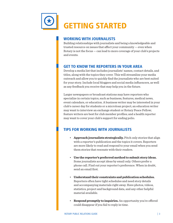

#### WORKING WITH JOURNALISTS

Building relationships with journalists and being a knowledgeable and trusted resource on issues that affect your community — even when Rotary is not the focus — can lead to more coverage of your club's projects and events.

#### GET TO KNOW THE REPORTERS IN YOUR AREA

Develop a media list that includes journalists' names, contact details, and titles, along with the topics they cover. This will streamline your media outreach and allow you to quickly find the journalists who are best suited for your story. Include local bloggers and social media influencers, as well as any feedback you receive that may help you in the future.

Larger newspapers or broadcast stations may have reporters who specialize in certain topics, such as business, features, medical news, event calendars, or education. A business writer may be interested in your club's career day for students or a microloan project; an education writer may want to interview an exchange student or Rotary Peace Fellow; feature writers are best for club member profiles; and a health reporter may want to cover your club's support for ending polio.

#### TIPS FOR WORKING WITH JOURNALISTS

- **Approach journalists strategically.** Pitch only stories that align with a reporter's publication and the topics it covers. Reporters are more likely to read and respond to your email when you send them stories that resonate with their readers.
- **Use the reporter's preferred method to submit story ideas.** Some journalists accept ideas by email only. Others prefer a phone call. Find out your reporter's preference. When in doubt, send an email first.
- **Understand their constraints and publication schedules.** Reporters often have tight schedules and need story details and accompanying materials right away. Have photos, videos, statistics, project and background data, and any other helpful material available.
- **Respond promptly to inquiries.** An opportunity you're offered could disappear if you fail to reply in time.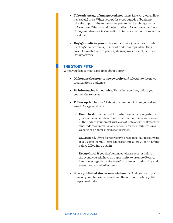- **Take advantage of unexpected meetings.** Like you, journalists have social lives. When your paths cross outside of business, take the opportunity to introduce yourself and exchange contact information. Offer to send the journalist information about how Rotary members are taking action to improve communities across the globe.
- **Engage media in your club events.** Invite journalists to club meetings that feature speakers who address topics that they cover. Or invite them to participate in a project, event, or other Rotary activity.

#### THE STORY PITCH

When you first contact a reporter about a story:

- **Make sure the story is newsworthy** and relevant to the news organization's audience.
- **Be informative but concise.** Plan what you'll say before you contact the reporter.
- **Follow up,** but be careful about the number of times you call or email. As a general rule:
	- **Email first.** Email is best for initial contact so a reporter can process the most relevant information. Put the news release in the body of your email with a short note above it. Reporters' email addresses can usually be found on their publication's website or on their most recent stories.
	- **Call second.** If you do not receive a response, call to follow up. If you get voicemail, leave a message and allow 24 to 48 hours before following up again.
	- **Recap third.** If you don't connect with a reporter before the event, you still have an opportunity to promote Rotary. Send a message about the event's successes: fundraising goal, event photos, and milestones.
- **Share published stories on social media.** And be sure to post them on your club website and send them to your Rotary public image coordinator.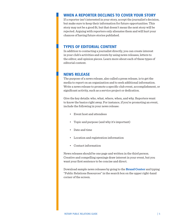#### WHEN A REPORTER DECLINES TO COVER YOUR STORY

If a reporter isn't interested in your story, accept the journalist's decision, but make sure to keep their information for future opportunities. This story may not be a good fit, but that doesn't mean the next story will be rejected. Arguing with reporters only alienates them and will hurt your chances of having future stories published.

#### TYPES OF EDITORIAL CONTENT

In addition to contacting a journalist directly, you can create interest in your club's activities and events by using news releases, letters to the editor, and opinion pieces. Learn more about each of these types of editorial content.

#### NEWS RELEASE

The purpose of a news release, also called a press release, is to get the media to report on an organization and to seek additional information. Write a news release to promote a specific club event, accomplishment, or significant activity, such as a service project or dedication.

Give the key details: who, what, where, when, and why. Reporters want to know the basics right away. For instance, if you're promoting an event, include the following in your news release:

- Event host and attendees
- Topic and purpose (and why it's important)
- Date and time
- Location and registration information
- Contact information

News releases should be one page and written in the third person. Creative and compelling openings draw interest in your event, but you want your first sentence to be concise and direct.

Download sample news releases by going to the **[Brand Center](https://brandcenter.rotary.org/en-GB)** and typing "Public Relations Resources" in the search box on the upper right-hand corner of the screen.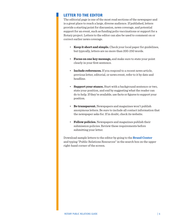#### LETTER TO THE EDITOR

The editorial page is one of the most read sections of the newspaper and is a great place to reach a large, diverse audience. If published, letters provide a starting point for discussion, news coverage, and potential support for an event, such as funding polio vaccinations or support for a Rotary project. Letters to the editor can also be used to comment on or correct earlier news coverage.

- **Keep it short and simple.** Check your local paper for guidelines, but typically, letters are no more than 200-250 words.
- **Focus on one key message,** and make sure to state your point clearly in your first sentence.
- **Include references.** If you respond to a recent news article, previous letter, editorial, or news event, refer to it by date and headline.
- **Support your stance.** Start with a background sentence or two, state your position, and end by suggesting what the reader can do to help. If they're available, use facts or figures to support your position.
- **Be transparent.** Newspapers and magazines won't publish anonymous letters. Be sure to include all contact information that the newspaper asks for. If in doubt, check its website.
- **Follow policies.** Newspapers and magazines publish their submission policies. Review these requirements before submitting your letter.

Download sample letters to the editor by going to the **[Brand Center](https://brandcenter.rotary.org/en-GB)** and typing "Public Relations Resources" in the search box on the upper right-hand corner of the screen.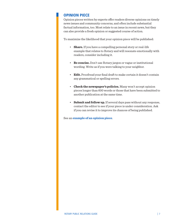#### OPINION PIECE

Opinion pieces written by experts offer readers diverse opinions on timely news issues and community concerns, and often include substantial factual information, too. Most relate to an issue in recent news, but they can also provide a fresh opinion or suggested course of action.

To maximize the likelihood that your opinion piece will be published:

- **Share.** If you have a compelling personal story or real-life example that relates to Rotary and will resonate emotionally with readers, consider including it.
- **Be concise.** Don't use Rotary jargon or vague or institutional wording. Write as if you were talking to your neighbor.
- **Edit.** Proofread your final draft to make certain it doesn't contain any grammatical or spelling errors.
- **Check the newspaper's policies.** Many won't accept opinion pieces longer than 600 words or those that have been submitted to another publication at the same time.
- **Submit and follow up.** If several days pass without any response, contact the editor to see if your piece is under consideration. Ask if you can revise it to improve its chances of being published.

See an **[example of an opinion piece](http://time.com/4083262/world-polio-day/)**.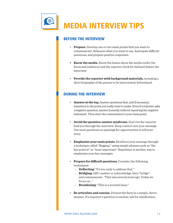

#### BEFORE THE INTERVIEW

- **Prepare.** Develop one or two main points that you want to communicate. Rehearse what you want to say. Anticipate difficult questions, and prepare positive responses.
- **• Know the media.** Know the basics about the media outlet (its focus and audience) and the reporter (look for bylines) before the interview.
- **Provide the reporter with background materials,** including a short biography of the person to be interviewed, beforehand.

#### DURING THE INTERVIEW

- **Answer at the top.** Answer questions first, and if necessary, transition to the point you really want to make. Even if a reporter asks a negative question, answer honestly without repeating the negative statement. Then steer the conversation to your main point.
- **Avoid the question-answer syndrome.** Don't let the reporter lead you through the interview. Keep control over your message. Use most questions as openings for opportunities to tell your story.
- **Emphasize your main points.** Reinforce your message through a technique called "flagging," using simple phrases such as "the key point is" or "most important." Repetition is another way to emphasize your key messages.
- **Prepare for difficult questions.** Consider the following techniques:
	- **Deflecting:** "It's too early to address that."
	- **Bridging:** ABC: answer or acknowledge; then "bridge" and communicate. "That was several years ago. Today we focus on..."
	- **Broadening:** "This is a societal issue."
- **Be articulate and concise.** Present the facts in a simple, direct manner. If a reporter's question is unclear, ask for clarification.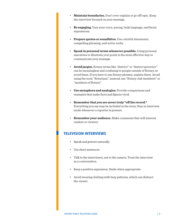- **Maintain boundaries.** Don't over-explain or go off topic. Keep the interview focused on your message.
- **Be engaging.** Vary your voice, pacing, body language, and facial expressions.
- **Prepare quotes or soundbites.** Use colorful statements, compelling phrasing, and active verbs.
- **Speak in personal terms whenever possible.** Using personal anecdotes to illustrate your point is the most effective way to communicate your message.
- **Avoid jargon.** Rotary terms like "district" or "district governor" can be meaningless and confusing to people outside of Rotary, so avoid them. If you have to use Rotary phrases, explain them. Avoid using the term "Rotarians"; instead, use "Rotary club members" or "members of Rotary."
- **Use metaphors and analogies.** Provide comparisons and examples that make facts and figures vivid.
- **Remember that you are never truly "off the record."**  Everything you say may be included in the story. Stay in interview mode whenever a reporter is present.
- **Remember your audience.** Make comments that will interest readers or viewers.

#### TELEVISION INTERVIEWS

- Speak and gesture naturally.
- Use short sentences
- Talk to the interviewer, not to the camera. Treat the interview as a conversation.
- Keep a positive expression. Smile when appropriate.
- Avoid wearing clothing with busy patterns, which can distract the viewer.